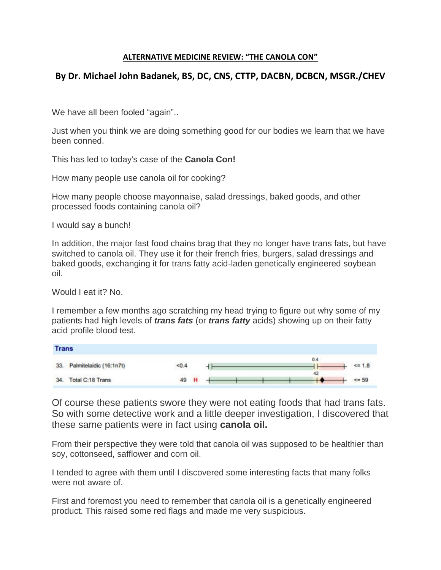## **ALTERNATIVE MEDICINE REVIEW: "THE CANOLA CON"**

## **By Dr. Michael John Badanek, BS, DC, CNS, CTTP, DACBN, DCBCN, MSGR./CHEV**

We have all been fooled "again"...

Just when you think we are doing something good for our bodies we learn that we have been conned.

This has led to today's case of the **Canola Con!**

How many people use canola oil for cooking?

How many people choose mayonnaise, salad dressings, baked goods, and other processed foods containing canola oil?

I would say a bunch!

In addition, the major fast food chains brag that they no longer have trans fats, but have switched to canola oil. They use it for their french fries, burgers, salad dressings and baked goods, exchanging it for trans fatty acid-laden genetically engineered soybean oil.

Would I eat it? No.

I remember a few months ago scratching my head trying to figure out why some of my patients had high levels of *trans fats* (or *trans fatty* acids) showing up on their fatty acid profile blood test.

| <b>Trans</b> |                         |                  |  |  |     |                |
|--------------|-------------------------|------------------|--|--|-----|----------------|
| 33.          | Palmitelaidic (16:1n7t) | < 0.4            |  |  | 0.4 | $\times = 1.8$ |
| 34.          | Total C:18 Trans        | $1 + 3122$<br>49 |  |  | 42  | $\leq$ = 59    |

Of course these patients swore they were not eating foods that had trans fats. So with some detective work and a little deeper investigation, I discovered that these same patients were in fact using **canola oil.**

From their perspective they were told that canola oil was supposed to be healthier than soy, cottonseed, safflower and corn oil.

I tended to agree with them until I discovered some interesting facts that many folks were not aware of.

First and foremost you need to remember that canola oil is a genetically engineered product. This raised some red flags and made me very suspicious.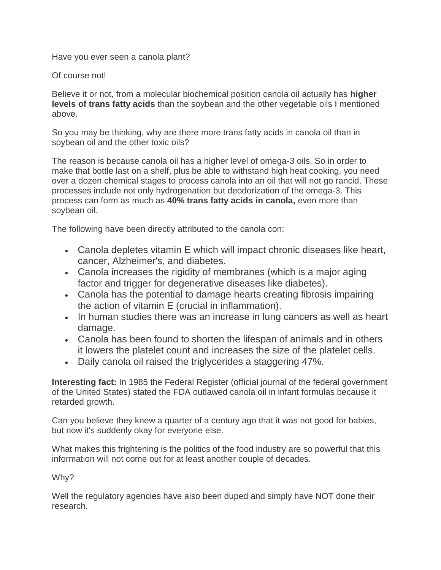Have you ever seen a canola plant?

Of course not!

Believe it or not, from a molecular biochemical position canola oil actually has **higher levels of trans fatty acids** than the soybean and the other vegetable oils I mentioned above.

So you may be thinking, why are there more trans fatty acids in canola oil than in soybean oil and the other toxic oils?

The reason is because canola oil has a higher level of omega-3 oils. So in order to make that bottle last on a shelf, plus be able to withstand high heat cooking, you need over a dozen chemical stages to process canola into an oil that will not go rancid. These processes include not only hydrogenation but deodorization of the omega-3. This process can form as much as **40% trans fatty acids in canola,** even more than soybean oil.

The following have been directly attributed to the canola con:

- Canola depletes vitamin E which will impact chronic diseases like heart, cancer, Alzheimer's, and diabetes.
- Canola increases the rigidity of membranes (which is a major aging factor and trigger for degenerative diseases like diabetes).
- Canola has the potential to damage hearts creating fibrosis impairing the action of vitamin E (crucial in inflammation).
- In human studies there was an increase in lung cancers as well as heart damage.
- Canola has been found to shorten the lifespan of animals and in others it lowers the platelet count and increases the size of the platelet cells.
- Daily canola oil raised the triglycerides a staggering 47%.

**Interesting fact:** In 1985 the Federal Register (official journal of the federal government of the United States) stated the FDA outlawed canola oil in infant formulas because it retarded growth.

Can you believe they knew a quarter of a century ago that it was not good for babies, but now it's suddenly okay for everyone else.

What makes this frightening is the politics of the food industry are so powerful that this information will not come out for at least another couple of decades.

Why?

Well the regulatory agencies have also been duped and simply have NOT done their research.